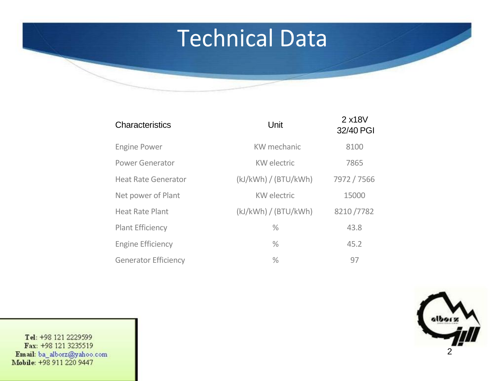### Technical Data

| Characteristics             | Unit                 | 2 x18V<br>32/40 PGI |
|-----------------------------|----------------------|---------------------|
| <b>Engine Power</b>         | KW mechanic          | 8100                |
| <b>Power Generator</b>      | <b>KW</b> electric   | 7865                |
| <b>Heat Rate Generator</b>  | (kJ/kWh) / (BTU/kWh) | 7972 / 7566         |
| Net power of Plant          | <b>KW</b> electric   | 15000               |
| <b>Heat Rate Plant</b>      | (kJ/kWh) / (BTU/kWh) | 8210/7782           |
| <b>Plant Efficiency</b>     | $\%$                 | 43.8                |
| <b>Engine Efficiency</b>    | $\%$                 | 45.2                |
| <b>Generator Efficiency</b> | $\%$                 | 97                  |

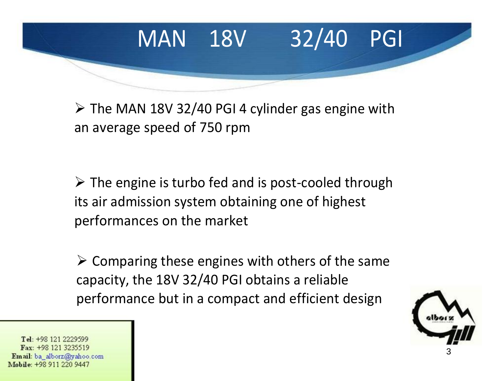

 $\triangleright$  The MAN 18V 32/40 PGI 4 cylinder gas engine with an average speed of 750 rpm

 $\triangleright$  The engine is turbo fed and is post-cooled through its air admission system obtaining one of highest performances on the market

 $\triangleright$  Comparing these engines with others of the same capacity, the 18V 32/40 PGI obtains a reliable performance but in a compact and efficient design

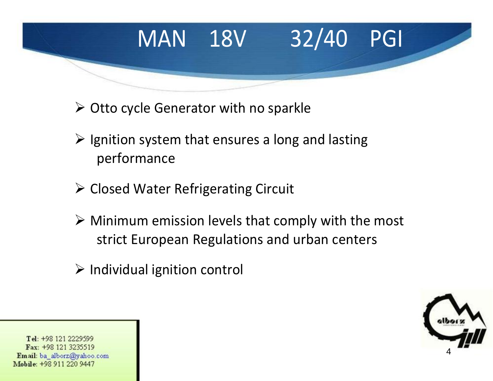# MAN 18V 32/40 PGI

- $\triangleright$  Otto cycle Generator with no sparkle
- $\triangleright$  Ignition system that ensures a long and lasting performance
- $\triangleright$  Closed Water Refrigerating Circuit
- $\triangleright$  Minimum emission levels that comply with the most strict European Regulations and urban centers
- $\triangleright$  Individual ignition control

4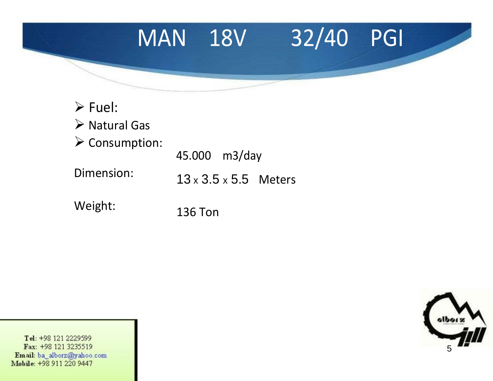#### MAN 18V 32/40 PGI

| $\triangleright$ Fuel:        |                                   |  |
|-------------------------------|-----------------------------------|--|
| $\triangleright$ Natural Gas  |                                   |  |
| $\triangleright$ Consumption: | 45.000 m3/day                     |  |
| Dimension:                    | $13 \times 3.5 \times 5.5$ Meters |  |
| Weight:                       | 136 Ton                           |  |

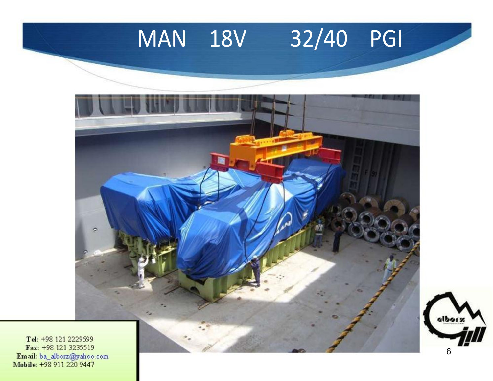#### 32/40 PGI **MAN 18V**



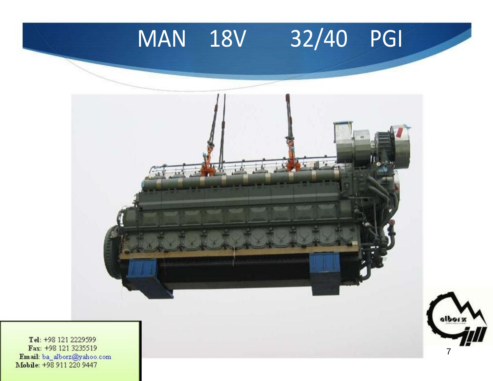



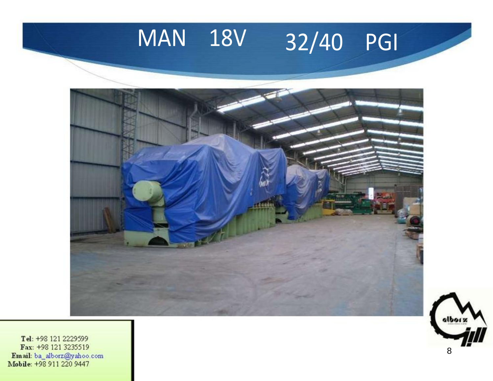## MAN 18V 32/40 PGI